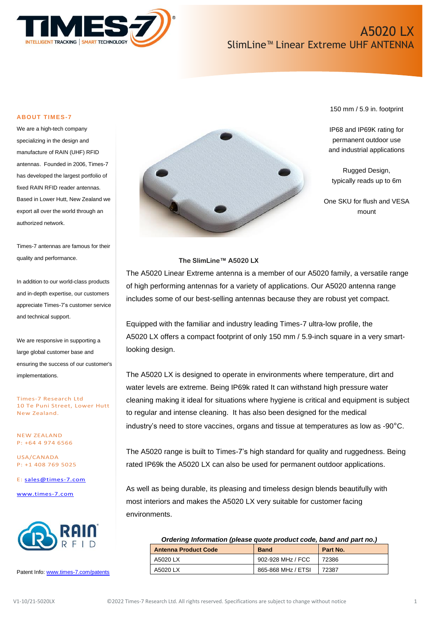

150 mm / 5.9 in. footprint

IP68 and IP69K rating for permanent outdoor use and industrial applications

Rugged Design, typically reads up to 6m

One SKU for flush and VESA mount

#### **ABOUT TIMES-7**

We are a high-tech company specializing in the design and manufacture of RAIN (UHF) RFID antennas. Founded in 2006, Times-7 has developed the largest portfolio of fixed RAIN RFID reader antennas. Based in Lower Hutt, New Zealand we export all over the world through an authorized network.

Times-7 antennas are famous for their quality and performance.

In addition to our world-class products and in-depth expertise, our customers appreciate Times-7's customer service and technical support.

We are responsive in supporting a large global customer base and ensuring the success of our customer's implementations.

Times-7 Research Ltd 10 Te Puni Street, Lower Hutt New Zealand.

NEW ZEALAND P: +64 4 974 6566

USA/CANADA P: +1 408 769 5025

E: [sales@times-7.com](mailto:sales@times-7.com)

[www.times-7.com](http://www.times-7.com/)



Patent Info[: www.times-7.com/patents](http://www.times-7.com/patents)



### **The SlimLine™ A5020 LX**

The A5020 Linear Extreme antenna is a member of our A5020 family, a versatile range of high performing antennas for a variety of applications. Our A5020 antenna range includes some of our best-selling antennas because they are robust yet compact.

Equipped with the familiar and industry leading Times-7 ultra-low profile, the A5020 LX offers a compact footprint of only 150 mm / 5.9-inch square in a very smartlooking design.

The A5020 LX is designed to operate in environments where temperature, dirt and water levels are extreme. Being IP69k rated It can withstand high pressure water cleaning making it ideal for situations where hygiene is critical and equipment is subject to regular and intense cleaning. It has also been designed for the medical industry's need to store vaccines, organs and tissue at temperatures as low as -90°C.

The A5020 range is built to Times-7's high standard for quality and ruggedness. Being rated IP69k the A5020 LX can also be used for permanent outdoor applications.

As well as being durable, its pleasing and timeless design blends beautifully with most interiors and makes the A5020 LX very suitable for customer facing environments.

| Ordering Information (please quote product code, band and part no.) |                   |          |
|---------------------------------------------------------------------|-------------------|----------|
| <b>Antenna Product Code</b>                                         | <b>Band</b>       | Part No. |
| A5020 LX                                                            | 902-928 MHz / FCC | 72386    |

A5020 LX 865-868 MHz / ETSI 72387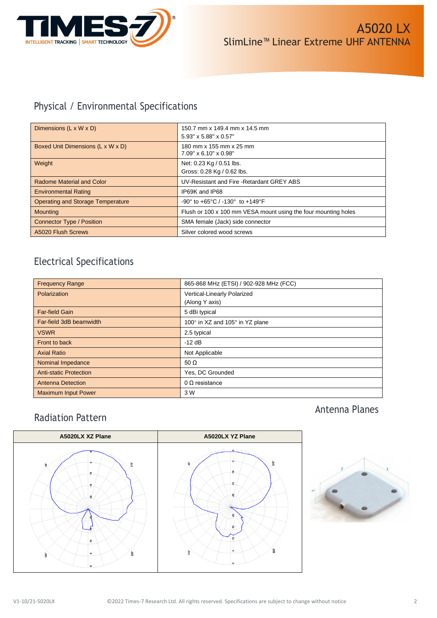

# Physical / Environmental Specifications

| Dimensions $(L \times W \times D)$       | 150.7 mm x 149.4 mm x 14.5 mm<br>5.93" x 5.88" x 0.57"                |
|------------------------------------------|-----------------------------------------------------------------------|
| Boxed Unit Dimensions (L x W x D)        | 180 mm x 155 mm x 25 mm<br>$7.09" \times 6.10" \times 0.98"$          |
| Weight                                   | Net: 0.23 Kg / 0.51 lbs.<br>Gross: 0.28 Kg / 0.62 lbs.                |
| Radome Material and Color                | UV-Resistant and Fire - Retardant GREY ABS                            |
| <b>Environmental Rating</b>              | IP69K and IP68                                                        |
| <b>Operating and Storage Temperature</b> | $-90^{\circ}$ to $+65^{\circ}$ C / $-130^{\circ}$ to $+149^{\circ}$ F |
| <b>Mounting</b>                          | Flush or 100 x 100 mm VESA mount using the four mounting holes        |
| <b>Connector Type / Position</b>         | SMA female (Jack) side connector                                      |
| A5020 Flush Screws                       | Silver colored wood screws                                            |

# Electrical Specifications

| <b>Frequency Range</b>        | 865-868 MHz (ETSI) / 902-928 MHz (FCC) |  |
|-------------------------------|----------------------------------------|--|
| <b>Polarization</b>           | Vertical-Linearly Polarized            |  |
|                               | (Along Y axis)                         |  |
| <b>Far-field Gain</b>         | 5 dBi typical                          |  |
| Far-field 3dB beamwidth       | 100° in XZ and 105° in YZ plane        |  |
| <b>VSWR</b>                   | 2.5 typical                            |  |
| Front to back                 | $-12$ dB                               |  |
| <b>Axial Ratio</b>            | Not Applicable                         |  |
| Nominal Impedance             | 50 $\Omega$                            |  |
| <b>Anti-static Protection</b> | Yes, DC Grounded                       |  |
| <b>Antenna Detection</b>      | $0 \Omega$ resistance                  |  |
| <b>Maximum Input Power</b>    | 3 W                                    |  |

# Radiation Pattern





Antenna Planes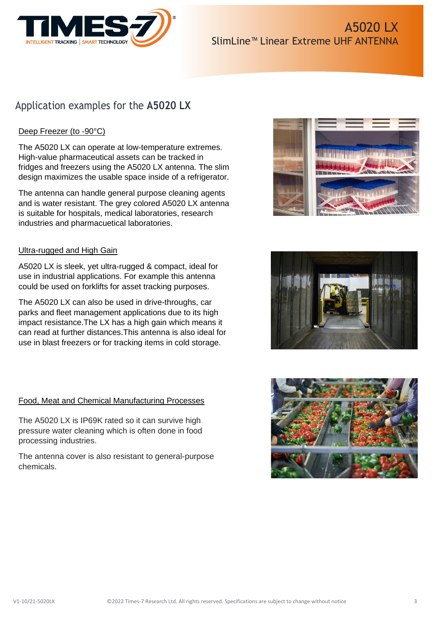

# Application examples for the **A5020 LX**

## Deep Freezer (to -90°C)

The A5020 LX can operate at low-temperature extremes. High-value pharmaceutical assets can be tracked in fridges and freezers using the A5020 LX antenna. The slim design maximizes the usable space inside of a refrigerator.

The antenna can handle general purpose cleaning agents and is water resistant. The grey colored A5020 LX antenna is suitable for hospitals, medical laboratories, research industries and pharmacuetical laboratories.

### Ultra-rugged and High Gain

A5020 LX is sleek, yet ultra-rugged & compact, ideal for use in industrial applications. For example this antenna could be used on forklifts for asset tracking purposes.

The A5020 LX can also be used in drive-throughs, car parks and fleet management applications due to its high impact resistance.The LX has a high gain which means it can read at further distances.This antenna is also ideal for use in blast freezers or for tracking items in cold storage.

### Food, Meat and Chemical Manufacturing Processes

The A5020 LX is IP69K rated so it can survive high pressure water cleaning which is often done in food processing industries.

The antenna cover is also resistant to general-purpose chemicals.





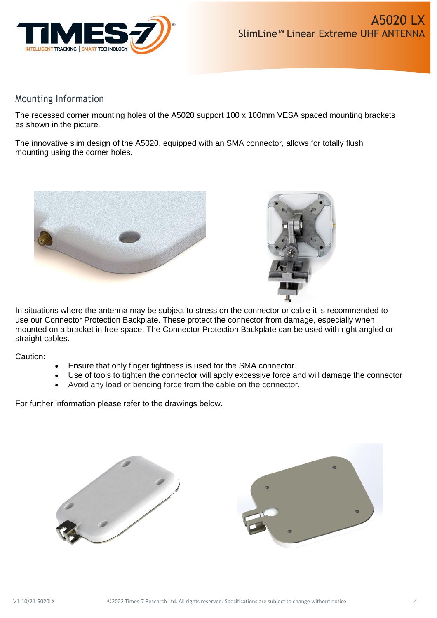

## Mounting Information

The recessed corner mounting holes of the A5020 support 100 x 100mm VESA spaced mounting brackets as shown in the picture.

The innovative slim design of the A5020, equipped with an SMA connector, allows for totally flush mounting using the corner holes.





In situations where the antenna may be subject to stress on the connector or cable it is recommended to use our Connector Protection Backplate. These protect the connector from damage, especially when mounted on a bracket in free space. The Connector Protection Backplate can be used with right angled or straight cables.

Caution:

- Ensure that only finger tightness is used for the SMA connector.
- Use of tools to tighten the connector will apply excessive force and will damage the connector
- Avoid any load or bending force from the cable on the connector.

For further information please refer to the drawings below.



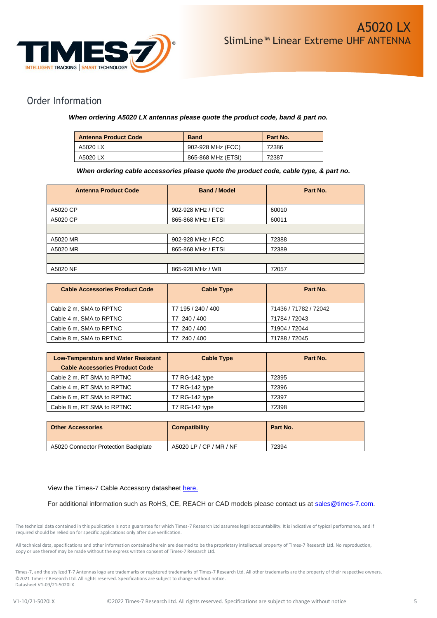

## Order Information

#### *When ordering A5020 LX antennas please quote the product code, band & part no.*

| <b>Antenna Product Code</b> | <b>Band</b>        | Part No. |
|-----------------------------|--------------------|----------|
| A5020 LX                    | 902-928 MHz (FCC)  | 72386    |
| A5020 LX                    | 865-868 MHz (ETSI) | 72387    |

 *When ordering cable accessories please quote the product code, cable type, & part no.*

| <b>Antenna Product Code</b> | <b>Band / Model</b> | Part No. |
|-----------------------------|---------------------|----------|
| A5020 CP                    | 902-928 MHz / FCC   | 60010    |
| A5020 CP                    | 865-868 MHz / ETSI  | 60011    |
|                             |                     |          |
| A5020 MR                    | 902-928 MHz / FCC   | 72388    |
| A5020 MR                    | 865-868 MHz / ETSI  | 72389    |
|                             |                     |          |
| A5020 NF                    | 865-928 MHz / WB    | 72057    |

| <b>Cable Accessories Product Code</b> | <b>Cable Type</b>  | Part No.              |
|---------------------------------------|--------------------|-----------------------|
| Cable 2 m, SMA to RPTNC               | T7 195 / 240 / 400 | 71436 / 71782 / 72042 |
| Cable 4 m, SMA to RPTNC               | T7 240 / 400       | 71784 / 72043         |
| Cable 6 m, SMA to RPTNC               | T7 240 / 400       | 71904 / 72044         |
| Cable 8 m, SMA to RPTNC               | 240 / 400          | 71788 / 72045         |

| <b>Low-Temperature and Water Resistant</b> | <b>Cable Type</b> | Part No. |
|--------------------------------------------|-------------------|----------|
| <b>Cable Accessories Product Code</b>      |                   |          |
| Cable 2 m, RT SMA to RPTNC                 | T7 RG-142 type    | 72395    |
| Cable 4 m, RT SMA to RPTNC                 | T7 RG-142 type    | 72396    |
| Cable 6 m, RT SMA to RPTNC                 | T7 RG-142 type    | 72397    |
| Cable 8 m, RT SMA to RPTNC                 | T7 RG-142 type    | 72398    |

| <b>Other Accessories</b>             | <b>Compatibility</b>    | Part No. |
|--------------------------------------|-------------------------|----------|
| A5020 Connector Protection Backplate | A5020 LP / CP / MR / NF | 72394    |

#### View the Times-7 Cable Accessory datasheet [here.](https://www.times-7.com/Cable%20Datasheet_v1.1_A4.pdf)

For additional information such as RoHS, CE, REACH or CAD models please contact us at [sales@times-7.com.](mailto:sales@times-7.com)

The technical data contained in this publication is not a guarantee for which Times-7 Research Ltd assumes legal accountability. It is indicative of typical performance, and if required should be relied on for specific applications only after due verification.

All technical data, specifications and other information contained herein are deemed to be the proprietary intellectual property of Times-7 Research Ltd. No reproduction, copy or use thereof may be made without the express written consent of Times-7 Research Ltd.

Times-7, and the stylized T-7 Antennas logo are trademarks or registered trademarks of Times-7 Research Ltd. All other trademarks are the property of their respective owners. ©2021 Times-7 Research Ltd. All rights reserved. Specifications are subject to change without notice. Datasheet V1-09/21-5020LX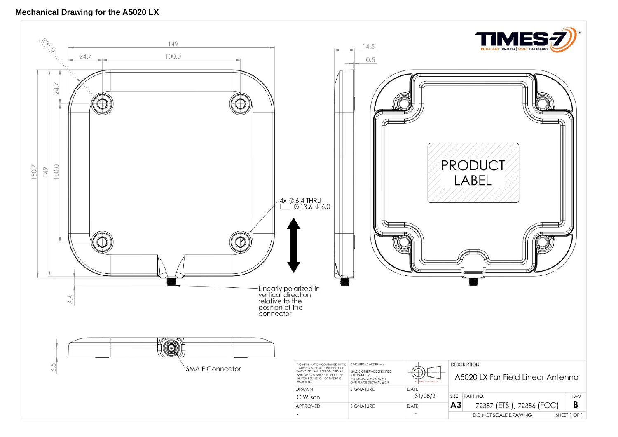### **Mechanical Drawing for the A5020 LX**